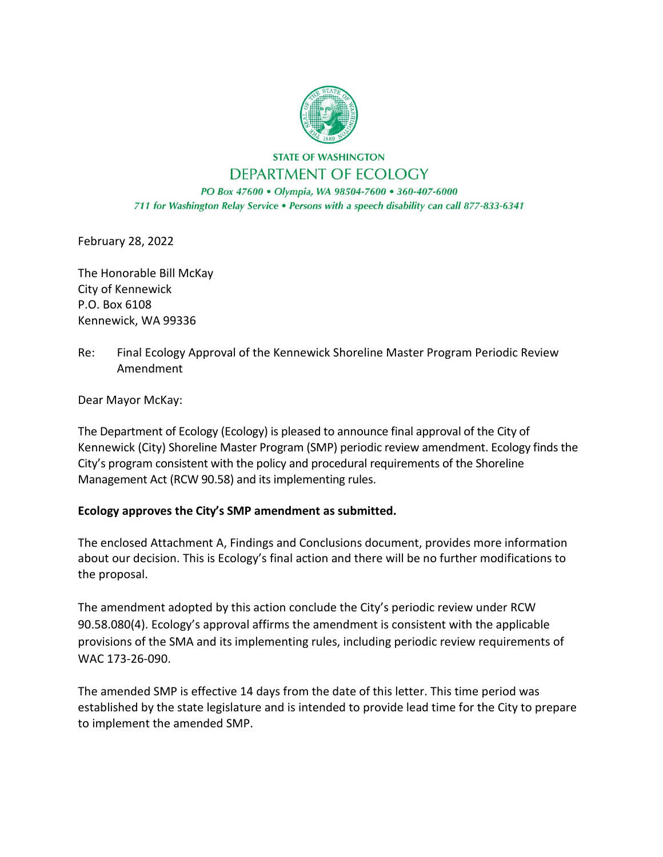

**STATE OF WASHINGTON** DEPARTMENT OF ECOLOGY

PO Box 47600 · Olympia, WA 98504-7600 · 360-407-6000 711 for Washington Relay Service . Persons with a speech disability can call 877-833-6341

February 28, 2022

The Honorable Bill McKay City of Kennewick P.O. Box 6108 Kennewick, WA 99336

Re: Final Ecology Approval of the Kennewick Shoreline Master Program Periodic Review Amendment

Dear Mayor McKay:

The Department of Ecology (Ecology) is pleased to announce final approval of the City of Kennewick (City) Shoreline Master Program (SMP) periodic review amendment. Ecology finds the City's program consistent with the policy and procedural requirements of the Shoreline Management Act (RCW 90.58) and its implementing rules.

## **Ecology approves the City's SMP amendment as submitted.**

The enclosed Attachment A, Findings and Conclusions document, provides more information about our decision. This is Ecology's final action and there will be no further modifications to the proposal.

The amendment adopted by this action conclude the City's periodic review under RCW 90.58.080(4). Ecology's approval affirms the amendment is consistent with the applicable provisions of the SMA and its implementing rules, including periodic review requirements of WAC 173-26-090.

The amended SMP is effective 14 days from the date of this letter. This time period was established by the state legislature and is intended to provide lead time for the City to prepare to implement the amended SMP.